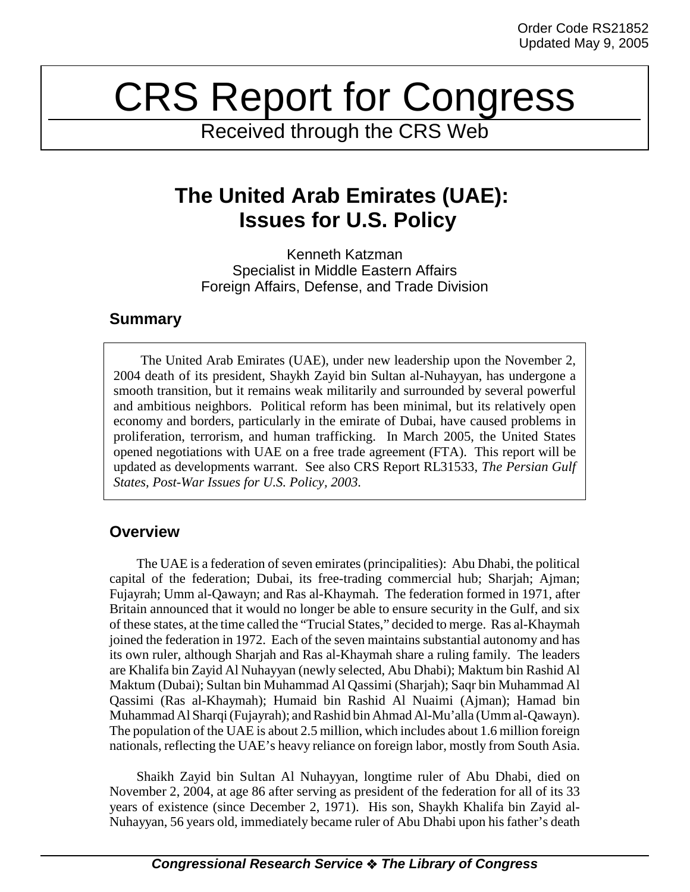# CRS Report for Congress

Received through the CRS Web

# **The United Arab Emirates (UAE): Issues for U.S. Policy**

Kenneth Katzman Specialist in Middle Eastern Affairs Foreign Affairs, Defense, and Trade Division

### **Summary**

The United Arab Emirates (UAE), under new leadership upon the November 2, 2004 death of its president, Shaykh Zayid bin Sultan al-Nuhayyan, has undergone a smooth transition, but it remains weak militarily and surrounded by several powerful and ambitious neighbors. Political reform has been minimal, but its relatively open economy and borders, particularly in the emirate of Dubai, have caused problems in proliferation, terrorism, and human trafficking. In March 2005, the United States opened negotiations with UAE on a free trade agreement (FTA). This report will be updated as developments warrant. See also CRS Report RL31533, *The Persian Gulf States, Post-War Issues for U.S. Policy, 2003.*

## **Overview**

The UAE is a federation of seven emirates (principalities): Abu Dhabi, the political capital of the federation; Dubai, its free-trading commercial hub; Sharjah; Ajman; Fujayrah; Umm al-Qawayn; and Ras al-Khaymah. The federation formed in 1971, after Britain announced that it would no longer be able to ensure security in the Gulf, and six of these states, at the time called the "Trucial States," decided to merge. Ras al-Khaymah joined the federation in 1972. Each of the seven maintains substantial autonomy and has its own ruler, although Sharjah and Ras al-Khaymah share a ruling family. The leaders are Khalifa bin Zayid Al Nuhayyan (newly selected, Abu Dhabi); Maktum bin Rashid Al Maktum (Dubai); Sultan bin Muhammad Al Qassimi (Sharjah); Saqr bin Muhammad Al Qassimi (Ras al-Khaymah); Humaid bin Rashid Al Nuaimi (Ajman); Hamad bin Muhammad Al Sharqi (Fujayrah); and Rashid bin Ahmad Al-Mu'alla (Umm al-Qawayn). The population of the UAE is about 2.5 million, which includes about 1.6 million foreign nationals, reflecting the UAE's heavy reliance on foreign labor, mostly from South Asia.

Shaikh Zayid bin Sultan Al Nuhayyan, longtime ruler of Abu Dhabi, died on November 2, 2004, at age 86 after serving as president of the federation for all of its 33 years of existence (since December 2, 1971). His son, Shaykh Khalifa bin Zayid al-Nuhayyan, 56 years old, immediately became ruler of Abu Dhabi upon his father's death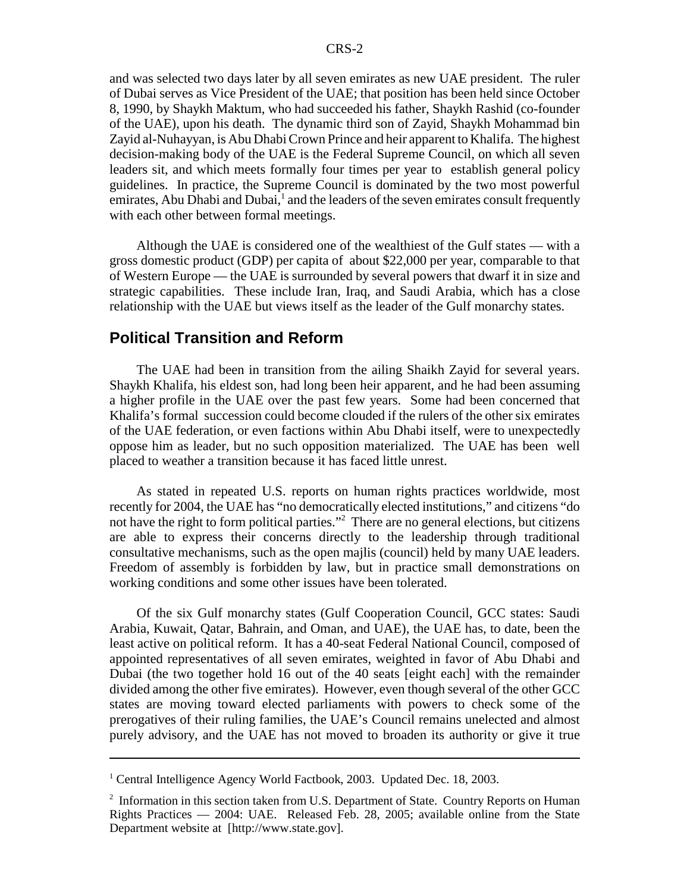and was selected two days later by all seven emirates as new UAE president. The ruler of Dubai serves as Vice President of the UAE; that position has been held since October 8, 1990, by Shaykh Maktum, who had succeeded his father, Shaykh Rashid (co-founder of the UAE), upon his death. The dynamic third son of Zayid, Shaykh Mohammad bin Zayid al-Nuhayyan, is Abu Dhabi Crown Prince and heir apparent to Khalifa. The highest decision-making body of the UAE is the Federal Supreme Council, on which all seven leaders sit, and which meets formally four times per year to establish general policy guidelines. In practice, the Supreme Council is dominated by the two most powerful emirates, Abu Dhabi and Dubai,<sup>1</sup> and the leaders of the seven emirates consult frequently with each other between formal meetings.

Although the UAE is considered one of the wealthiest of the Gulf states — with a gross domestic product (GDP) per capita of about \$22,000 per year, comparable to that of Western Europe — the UAE is surrounded by several powers that dwarf it in size and strategic capabilities. These include Iran, Iraq, and Saudi Arabia, which has a close relationship with the UAE but views itself as the leader of the Gulf monarchy states.

#### **Political Transition and Reform**

The UAE had been in transition from the ailing Shaikh Zayid for several years. Shaykh Khalifa, his eldest son, had long been heir apparent, and he had been assuming a higher profile in the UAE over the past few years. Some had been concerned that Khalifa's formal succession could become clouded if the rulers of the other six emirates of the UAE federation, or even factions within Abu Dhabi itself, were to unexpectedly oppose him as leader, but no such opposition materialized. The UAE has been well placed to weather a transition because it has faced little unrest.

As stated in repeated U.S. reports on human rights practices worldwide, most recently for 2004, the UAE has "no democratically elected institutions," and citizens "do not have the right to form political parties."<sup>2</sup> There are no general elections, but citizens are able to express their concerns directly to the leadership through traditional consultative mechanisms, such as the open majlis (council) held by many UAE leaders. Freedom of assembly is forbidden by law, but in practice small demonstrations on working conditions and some other issues have been tolerated.

Of the six Gulf monarchy states (Gulf Cooperation Council, GCC states: Saudi Arabia, Kuwait, Qatar, Bahrain, and Oman, and UAE), the UAE has, to date, been the least active on political reform. It has a 40-seat Federal National Council, composed of appointed representatives of all seven emirates, weighted in favor of Abu Dhabi and Dubai (the two together hold 16 out of the 40 seats [eight each] with the remainder divided among the other five emirates). However, even though several of the other GCC states are moving toward elected parliaments with powers to check some of the prerogatives of their ruling families, the UAE's Council remains unelected and almost purely advisory, and the UAE has not moved to broaden its authority or give it true

<sup>&</sup>lt;sup>1</sup> Central Intelligence Agency World Factbook, 2003. Updated Dec. 18, 2003.

<sup>&</sup>lt;sup>2</sup> Information in this section taken from U.S. Department of State. Country Reports on Human Rights Practices — 2004: UAE. Released Feb. 28, 2005; available online from the State Department website at [http://www.state.gov].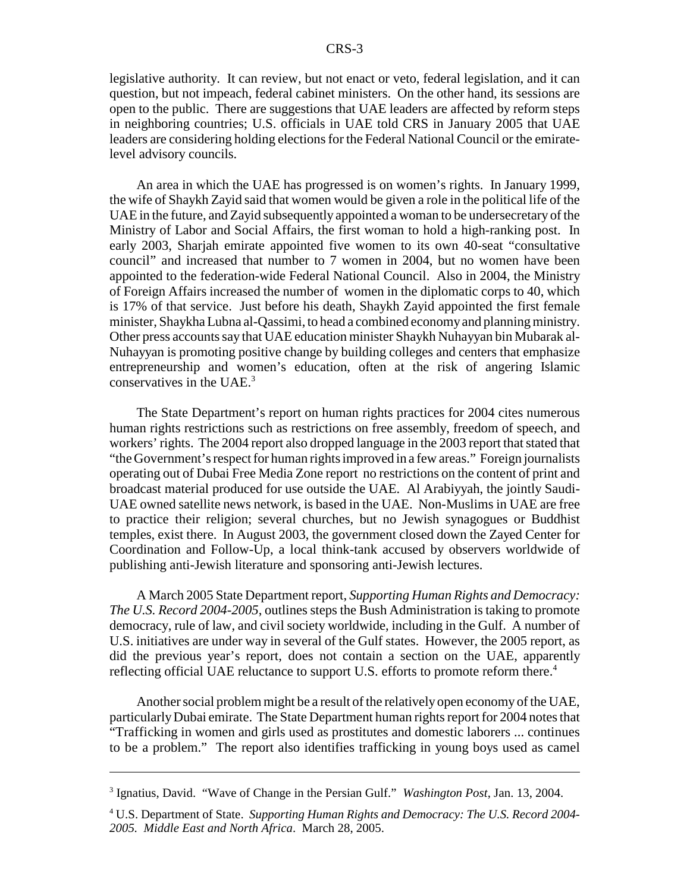legislative authority. It can review, but not enact or veto, federal legislation, and it can question, but not impeach, federal cabinet ministers. On the other hand, its sessions are open to the public. There are suggestions that UAE leaders are affected by reform steps in neighboring countries; U.S. officials in UAE told CRS in January 2005 that UAE leaders are considering holding elections for the Federal National Council or the emiratelevel advisory councils.

An area in which the UAE has progressed is on women's rights. In January 1999, the wife of Shaykh Zayid said that women would be given a role in the political life of the UAE in the future, and Zayid subsequently appointed a woman to be undersecretary of the Ministry of Labor and Social Affairs, the first woman to hold a high-ranking post. In early 2003, Sharjah emirate appointed five women to its own 40-seat "consultative council" and increased that number to 7 women in 2004, but no women have been appointed to the federation-wide Federal National Council. Also in 2004, the Ministry of Foreign Affairs increased the number of women in the diplomatic corps to 40, which is 17% of that service. Just before his death, Shaykh Zayid appointed the first female minister, Shaykha Lubna al-Qassimi, to head a combined economy and planning ministry. Other press accounts say that UAE education minister Shaykh Nuhayyan bin Mubarak al-Nuhayyan is promoting positive change by building colleges and centers that emphasize entrepreneurship and women's education, often at the risk of angering Islamic conservatives in the UAE. $3$ 

The State Department's report on human rights practices for 2004 cites numerous human rights restrictions such as restrictions on free assembly, freedom of speech, and workers' rights. The 2004 report also dropped language in the 2003 report that stated that "the Government's respect for human rights improved in a few areas." Foreign journalists operating out of Dubai Free Media Zone report no restrictions on the content of print and broadcast material produced for use outside the UAE. Al Arabiyyah, the jointly Saudi-UAE owned satellite news network, is based in the UAE. Non-Muslims in UAE are free to practice their religion; several churches, but no Jewish synagogues or Buddhist temples, exist there. In August 2003, the government closed down the Zayed Center for Coordination and Follow-Up, a local think-tank accused by observers worldwide of publishing anti-Jewish literature and sponsoring anti-Jewish lectures.

A March 2005 State Department report, *Supporting Human Rights and Democracy: The U.S. Record 2004-2005*, outlines steps the Bush Administration is taking to promote democracy, rule of law, and civil society worldwide, including in the Gulf. A number of U.S. initiatives are under way in several of the Gulf states. However, the 2005 report, as did the previous year's report, does not contain a section on the UAE, apparently reflecting official UAE reluctance to support U.S. efforts to promote reform there.<sup>4</sup>

Another social problem might be a result of the relatively open economy of the UAE, particularly Dubai emirate. The State Department human rights report for 2004 notes that "Trafficking in women and girls used as prostitutes and domestic laborers ... continues to be a problem." The report also identifies trafficking in young boys used as camel

<sup>3</sup> Ignatius, David. "Wave of Change in the Persian Gulf." *Washington Post*, Jan. 13, 2004.

<sup>4</sup> U.S. Department of State. *Supporting Human Rights and Democracy: The U.S. Record 2004- 2005. Middle East and North Africa*. March 28, 2005.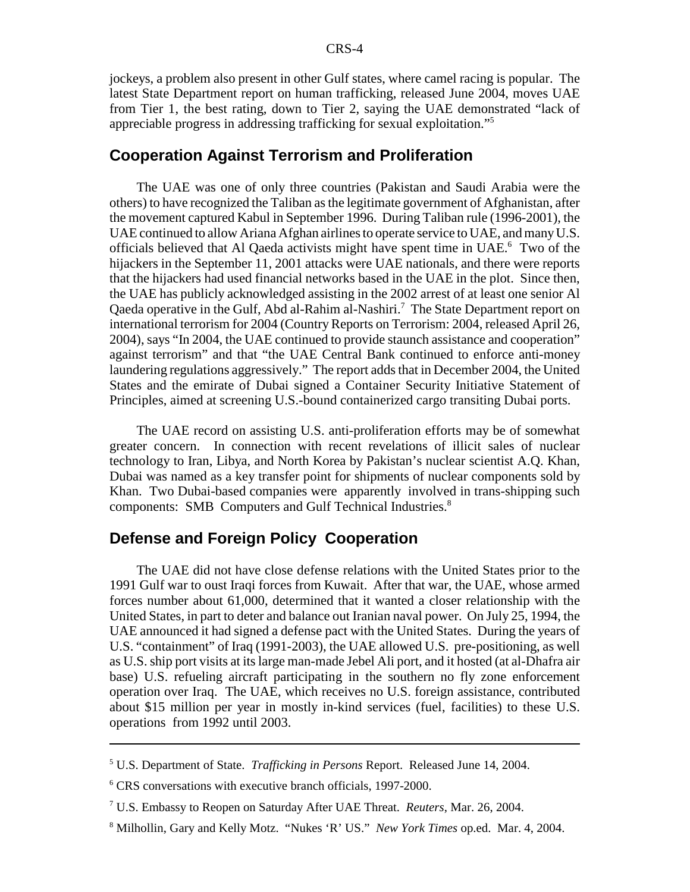jockeys, a problem also present in other Gulf states, where camel racing is popular. The latest State Department report on human trafficking, released June 2004, moves UAE from Tier 1, the best rating, down to Tier 2, saying the UAE demonstrated "lack of appreciable progress in addressing trafficking for sexual exploitation."5

#### **Cooperation Against Terrorism and Proliferation**

The UAE was one of only three countries (Pakistan and Saudi Arabia were the others) to have recognized the Taliban as the legitimate government of Afghanistan, after the movement captured Kabul in September 1996. During Taliban rule (1996-2001), the UAE continued to allow Ariana Afghan airlines to operate service to UAE, and many U.S. officials believed that Al Qaeda activists might have spent time in UAE.<sup>6</sup> Two of the hijackers in the September 11, 2001 attacks were UAE nationals, and there were reports that the hijackers had used financial networks based in the UAE in the plot. Since then, the UAE has publicly acknowledged assisting in the 2002 arrest of at least one senior Al Qaeda operative in the Gulf, Abd al-Rahim al-Nashiri.<sup>7</sup> The State Department report on international terrorism for 2004 (Country Reports on Terrorism: 2004, released April 26, 2004), says "In 2004, the UAE continued to provide staunch assistance and cooperation" against terrorism" and that "the UAE Central Bank continued to enforce anti-money laundering regulations aggressively." The report adds that in December 2004, the United States and the emirate of Dubai signed a Container Security Initiative Statement of Principles, aimed at screening U.S.-bound containerized cargo transiting Dubai ports.

The UAE record on assisting U.S. anti-proliferation efforts may be of somewhat greater concern. In connection with recent revelations of illicit sales of nuclear technology to Iran, Libya, and North Korea by Pakistan's nuclear scientist A.Q. Khan, Dubai was named as a key transfer point for shipments of nuclear components sold by Khan. Two Dubai-based companies were apparently involved in trans-shipping such components: SMB Computers and Gulf Technical Industries.<sup>8</sup>

#### **Defense and Foreign Policy Cooperation**

The UAE did not have close defense relations with the United States prior to the 1991 Gulf war to oust Iraqi forces from Kuwait. After that war, the UAE, whose armed forces number about 61,000, determined that it wanted a closer relationship with the United States, in part to deter and balance out Iranian naval power. On July 25, 1994, the UAE announced it had signed a defense pact with the United States. During the years of U.S. "containment" of Iraq (1991-2003), the UAE allowed U.S. pre-positioning, as well as U.S. ship port visits at its large man-made Jebel Ali port, and it hosted (at al-Dhafra air base) U.S. refueling aircraft participating in the southern no fly zone enforcement operation over Iraq. The UAE, which receives no U.S. foreign assistance, contributed about \$15 million per year in mostly in-kind services (fuel, facilities) to these U.S. operations from 1992 until 2003.

<sup>5</sup> U.S. Department of State. *Trafficking in Persons* Report. Released June 14, 2004.

<sup>6</sup> CRS conversations with executive branch officials, 1997-2000.

<sup>7</sup> U.S. Embassy to Reopen on Saturday After UAE Threat. *Reuters*, Mar. 26, 2004.

<sup>8</sup> Milhollin, Gary and Kelly Motz. "Nukes 'R' US." *New York Times* op.ed. Mar. 4, 2004.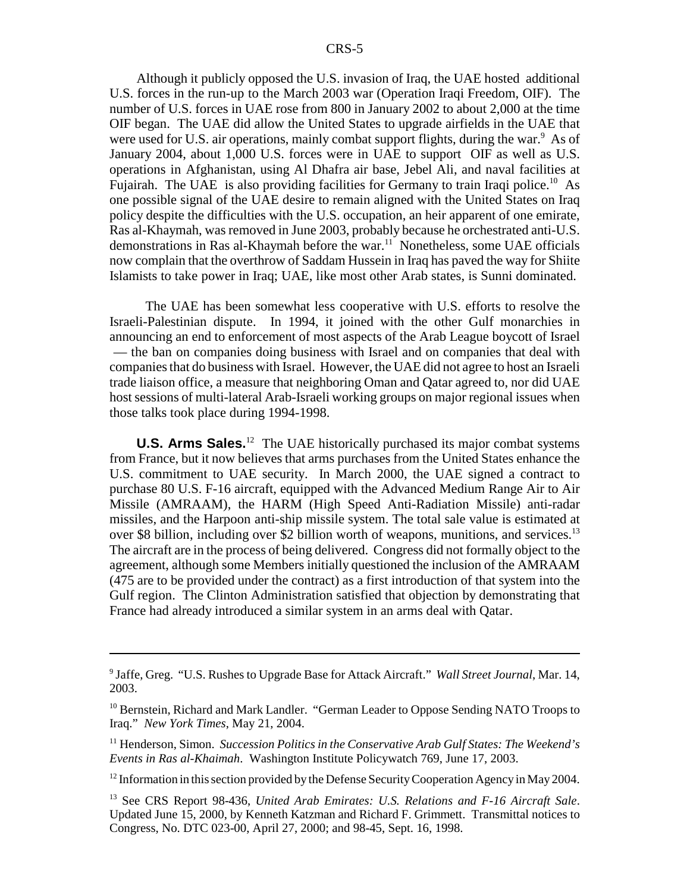Although it publicly opposed the U.S. invasion of Iraq, the UAE hosted additional U.S. forces in the run-up to the March 2003 war (Operation Iraqi Freedom, OIF). The number of U.S. forces in UAE rose from 800 in January 2002 to about 2,000 at the time OIF began. The UAE did allow the United States to upgrade airfields in the UAE that were used for U.S. air operations, mainly combat support flights, during the war.<sup>9</sup> As of January 2004, about 1,000 U.S. forces were in UAE to support OIF as well as U.S. operations in Afghanistan, using Al Dhafra air base, Jebel Ali, and naval facilities at Fujairah. The UAE is also providing facilities for Germany to train Iraqi police.<sup>10</sup> As one possible signal of the UAE desire to remain aligned with the United States on Iraq policy despite the difficulties with the U.S. occupation, an heir apparent of one emirate, Ras al-Khaymah, was removed in June 2003, probably because he orchestrated anti-U.S. demonstrations in Ras al-Khaymah before the war.<sup>11</sup> Nonetheless, some UAE officials now complain that the overthrow of Saddam Hussein in Iraq has paved the way for Shiite Islamists to take power in Iraq; UAE, like most other Arab states, is Sunni dominated.

 The UAE has been somewhat less cooperative with U.S. efforts to resolve the Israeli-Palestinian dispute. In 1994, it joined with the other Gulf monarchies in announcing an end to enforcement of most aspects of the Arab League boycott of Israel — the ban on companies doing business with Israel and on companies that deal with companies that do business with Israel. However, the UAE did not agree to host an Israeli trade liaison office, a measure that neighboring Oman and Qatar agreed to, nor did UAE host sessions of multi-lateral Arab-Israeli working groups on major regional issues when those talks took place during 1994-1998.

**U.S. Arms Sales.**<sup>12</sup> The UAE historically purchased its major combat systems from France, but it now believes that arms purchases from the United States enhance the U.S. commitment to UAE security. In March 2000, the UAE signed a contract to purchase 80 U.S. F-16 aircraft, equipped with the Advanced Medium Range Air to Air Missile (AMRAAM), the HARM (High Speed Anti-Radiation Missile) anti-radar missiles, and the Harpoon anti-ship missile system. The total sale value is estimated at over \$8 billion, including over \$2 billion worth of weapons, munitions, and services.<sup>13</sup> The aircraft are in the process of being delivered. Congress did not formally object to the agreement, although some Members initially questioned the inclusion of the AMRAAM (475 are to be provided under the contract) as a first introduction of that system into the Gulf region. The Clinton Administration satisfied that objection by demonstrating that France had already introduced a similar system in an arms deal with Qatar.

<sup>9</sup> Jaffe, Greg. "U.S. Rushes to Upgrade Base for Attack Aircraft." *Wall Street Journal*, Mar. 14, 2003.

 $10$  Bernstein, Richard and Mark Landler. "German Leader to Oppose Sending NATO Troops to Iraq." *New York Times*, May 21, 2004.

<sup>11</sup> Henderson, Simon. *Succession Politics in the Conservative Arab Gulf States: The Weekend's Events in Ras al-Khaimah*. Washington Institute Policywatch 769, June 17, 2003.

 $12$  Information in this section provided by the Defense Security Cooperation Agency in May 2004.

<sup>13</sup> See CRS Report 98-436, *United Arab Emirates: U.S. Relations and F-16 Aircraft Sale*. Updated June 15, 2000, by Kenneth Katzman and Richard F. Grimmett. Transmittal notices to Congress, No. DTC 023-00, April 27, 2000; and 98-45, Sept. 16, 1998.